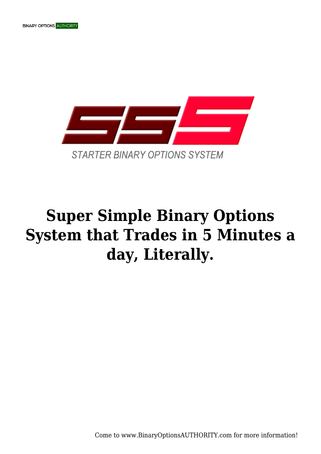



## **Super Simple Binary Options System that Trades in 5 Minutes a day, Literally.**

Come to www.BinaryOptionsAUTHORITY.com for more information!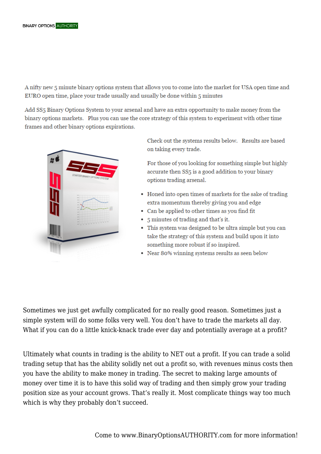A nifty new 5 minute binary options system that allows you to come into the market for USA open time and EURO open time, place your trade usually and usually be done within 5 minutes

Add SS5 Binary Options System to your arsenal and have an extra opportunity to make money from the binary options markets. Plus you can use the core strategy of this system to experiment with other time frames and other binary options expirations.



Check out the systems results below. Results are based on taking every trade.

For those of you looking for something simple but highly accurate then SS5 is a good addition to your binary options trading arsenal.

- Honed into open times of markets for the sake of trading extra momentum thereby giving you and edge
- Can be applied to other times as you find fit
- 5 minutes of trading and that's it.
- This system was designed to be ultra simple but you can take the strategy of this system and build upon it into something more robust if so inspired.
- Near 80% winning systems results as seen below

Sometimes we just get awfully complicated for no really good reason. Sometimes just a simple system will do some folks very well. You don't have to trade the markets all day. What if you can do a little knick-knack trade ever day and potentially average at a profit?

Ultimately what counts in trading is the ability to NET out a profit. If you can trade a solid trading setup that has the ability solidly net out a profit so, with revenues minus costs then you have the ability to make money in trading. The secret to making large amounts of money over time it is to have this solid way of trading and then simply grow your trading position size as your account grows. That's really it. Most complicate things way too much which is why they probably don't succeed.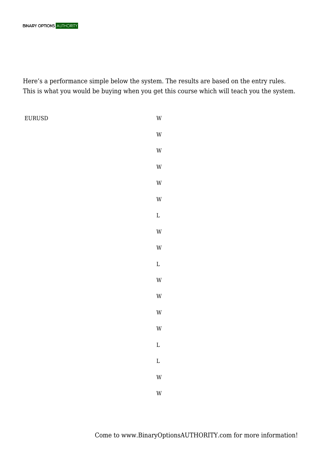Here's a performance simple below the system. The results are based on the entry rules. This is what you would be buying when you get this course which will teach you the system.

EURUSD W

W W W W W L W W L W W W W L L W W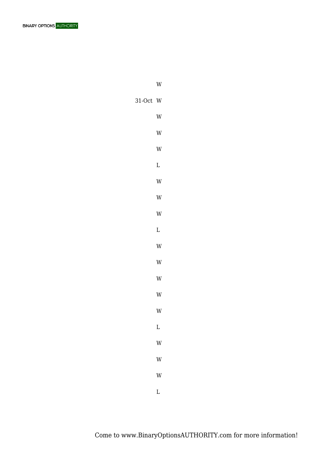

W W W W L W W W L W W W W W L W W W

31-Oct W

L